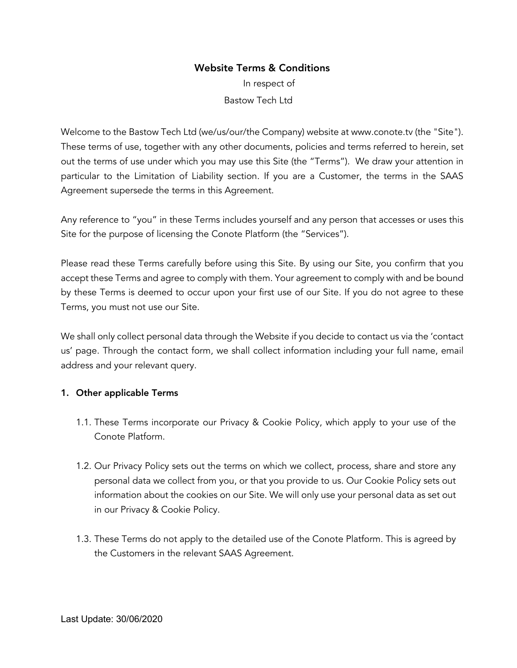# Website Terms & Conditions

In respect of Bastow Tech Ltd

Welcome to the Bastow Tech Ltd (we/us/our/the Company) website at www.conote.tv (the "Site"). These terms of use, together with any other documents, policies and terms referred to herein, set out the terms of use under which you may use this Site (the "Terms"). We draw your attention in particular to the Limitation of Liability section. If you are a Customer, the terms in the SAAS Agreement supersede the terms in this Agreement.

Any reference to "you" in these Terms includes yourself and any person that accesses or uses this Site for the purpose of licensing the Conote Platform (the "Services").

Please read these Terms carefully before using this Site. By using our Site, you confirm that you accept these Terms and agree to comply with them. Your agreement to comply with and be bound by these Terms is deemed to occur upon your first use of our Site. If you do not agree to these Terms, you must not use our Site.

We shall only collect personal data through the Website if you decide to contact us via the 'contact us' page. Through the contact form, we shall collect information including your full name, email address and your relevant query.

### 1. Other applicable Terms

- 1.1. These Terms incorporate our Privacy & Cookie Policy, which apply to your use of the Conote Platform.
- 1.2. Our Privacy Policy sets out the terms on which we collect, process, share and store any personal data we collect from you, or that you provide to us. Our Cookie Policy sets out information about the cookies on our Site. We will only use your personal data as set out in our Privacy & Cookie Policy.
- 1.3. These Terms do not apply to the detailed use of the Conote Platform. This is agreed by the Customers in the relevant SAAS Agreement.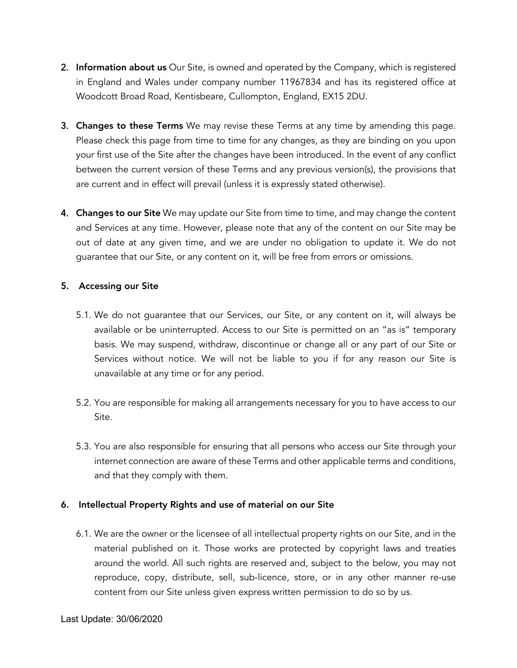- 2. Information about us Our Site, is owned and operated by the Company, which is registered in England and Wales under company number 11967834 and has its registered office at Woodcott Broad Road, Kentisbeare, Cullompton, England, EX15 2DU.
- 3. Changes to these Terms We may revise these Terms at any time by amending this page. Please check this page from time to time for any changes, as they are binding on you upon your first use of the Site after the changes have been introduced. In the event of any conflict between the current version of these Terms and any previous version(s), the provisions that are current and in effect will prevail (unless it is expressly stated otherwise).
- 4. Changes to our Site We may update our Site from time to time, and may change the content and Services at any time. However, please note that any of the content on our Site may be out of date at any given time, and we are under no obligation to update it. We do not guarantee that our Site, or any content on it, will be free from errors or omissions.

## 5. Accessing our Site

- 5.1. We do not guarantee that our Services, our Site, or any content on it, will always be available or be uninterrupted. Access to our Site is permitted on an "as is" temporary basis. We may suspend, withdraw, discontinue or change all or any part of our Site or Services without notice. We will not be liable to you if for any reason our Site is unavailable at any time or for any period.
- 5.2. You are responsible for making all arrangements necessary for you to have access to our Site.
- 5.3. You are also responsible for ensuring that all persons who access our Site through your internet connection are aware of these Terms and other applicable terms and conditions, and that they comply with them.

# 6. Intellectual Property Rights and use of material on our Site

6.1. We are the owner or the licensee of all intellectual property rights on our Site, and in the material published on it. Those works are protected by copyright laws and treaties around the world. All such rights are reserved and, subject to the below, you may not reproduce, copy, distribute, sell, sub-licence, store, or in any other manner re-use content from our Site unless given express written permission to do so by us.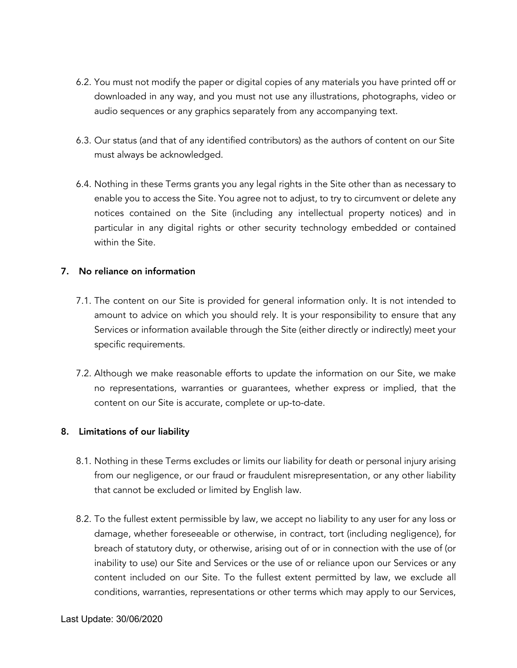- 6.2. You must not modify the paper or digital copies of any materials you have printed off or downloaded in any way, and you must not use any illustrations, photographs, video or audio sequences or any graphics separately from any accompanying text.
- 6.3. Our status (and that of any identified contributors) as the authors of content on our Site must always be acknowledged.
- 6.4. Nothing in these Terms grants you any legal rights in the Site other than as necessary to enable you to access the Site. You agree not to adjust, to try to circumvent or delete any notices contained on the Site (including any intellectual property notices) and in particular in any digital rights or other security technology embedded or contained within the Site.

## 7. No reliance on information

- 7.1. The content on our Site is provided for general information only. It is not intended to amount to advice on which you should rely. It is your responsibility to ensure that any Services or information available through the Site (either directly or indirectly) meet your specific requirements.
- 7.2. Although we make reasonable efforts to update the information on our Site, we make no representations, warranties or guarantees, whether express or implied, that the content on our Site is accurate, complete or up-to-date.

# 8. Limitations of our liability

- 8.1. Nothing in these Terms excludes or limits our liability for death or personal injury arising from our negligence, or our fraud or fraudulent misrepresentation, or any other liability that cannot be excluded or limited by English law.
- 8.2. To the fullest extent permissible by law, we accept no liability to any user for any loss or damage, whether foreseeable or otherwise, in contract, tort (including negligence), for breach of statutory duty, or otherwise, arising out of or in connection with the use of (or inability to use) our Site and Services or the use of or reliance upon our Services or any content included on our Site. To the fullest extent permitted by law, we exclude all conditions, warranties, representations or other terms which may apply to our Services,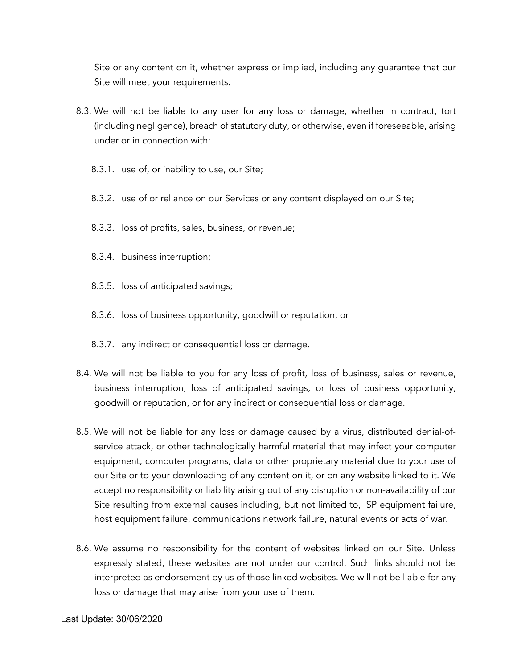Site or any content on it, whether express or implied, including any guarantee that our Site will meet your requirements.

- 8.3. We will not be liable to any user for any loss or damage, whether in contract, tort (including negligence), breach of statutory duty, or otherwise, even if foreseeable, arising under or in connection with:
	- 8.3.1. use of, or inability to use, our Site;
	- 8.3.2. use of or reliance on our Services or any content displayed on our Site;
	- 8.3.3. loss of profits, sales, business, or revenue;
	- 8.3.4. business interruption;
	- 8.3.5. loss of anticipated savings;
	- 8.3.6. loss of business opportunity, goodwill or reputation; or
	- 8.3.7. any indirect or consequential loss or damage.
- 8.4. We will not be liable to you for any loss of profit, loss of business, sales or revenue, business interruption, loss of anticipated savings, or loss of business opportunity, goodwill or reputation, or for any indirect or consequential loss or damage.
- 8.5. We will not be liable for any loss or damage caused by a virus, distributed denial-ofservice attack, or other technologically harmful material that may infect your computer equipment, computer programs, data or other proprietary material due to your use of our Site or to your downloading of any content on it, or on any website linked to it. We accept no responsibility or liability arising out of any disruption or non-availability of our Site resulting from external causes including, but not limited to, ISP equipment failure, host equipment failure, communications network failure, natural events or acts of war.
- 8.6. We assume no responsibility for the content of websites linked on our Site. Unless expressly stated, these websites are not under our control. Such links should not be interpreted as endorsement by us of those linked websites. We will not be liable for any loss or damage that may arise from your use of them.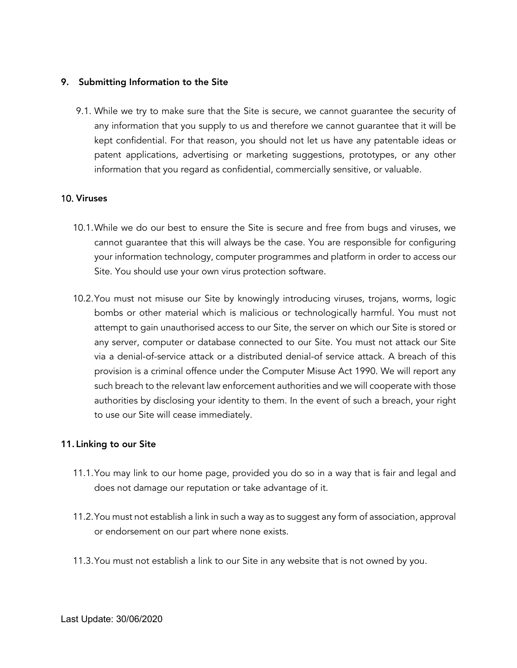### 9. Submitting Information to the Site

9.1. While we try to make sure that the Site is secure, we cannot guarantee the security of any information that you supply to us and therefore we cannot guarantee that it will be kept confidential. For that reason, you should not let us have any patentable ideas or patent applications, advertising or marketing suggestions, prototypes, or any other information that you regard as confidential, commercially sensitive, or valuable.

### 10. Viruses

- 10.1.While we do our best to ensure the Site is secure and free from bugs and viruses, we cannot guarantee that this will always be the case. You are responsible for configuring your information technology, computer programmes and platform in order to access our Site. You should use your own virus protection software.
- 10.2.You must not misuse our Site by knowingly introducing viruses, trojans, worms, logic bombs or other material which is malicious or technologically harmful. You must not attempt to gain unauthorised access to our Site, the server on which our Site is stored or any server, computer or database connected to our Site. You must not attack our Site via a denial-of-service attack or a distributed denial-of service attack. A breach of this provision is a criminal offence under the Computer Misuse Act 1990. We will report any such breach to the relevant law enforcement authorities and we will cooperate with those authorities by disclosing your identity to them. In the event of such a breach, your right to use our Site will cease immediately.

#### 11. Linking to our Site

- 11.1.You may link to our home page, provided you do so in a way that is fair and legal and does not damage our reputation or take advantage of it.
- 11.2.You must not establish a link in such a way as to suggest any form of association, approval or endorsement on our part where none exists.
- 11.3.You must not establish a link to our Site in any website that is not owned by you.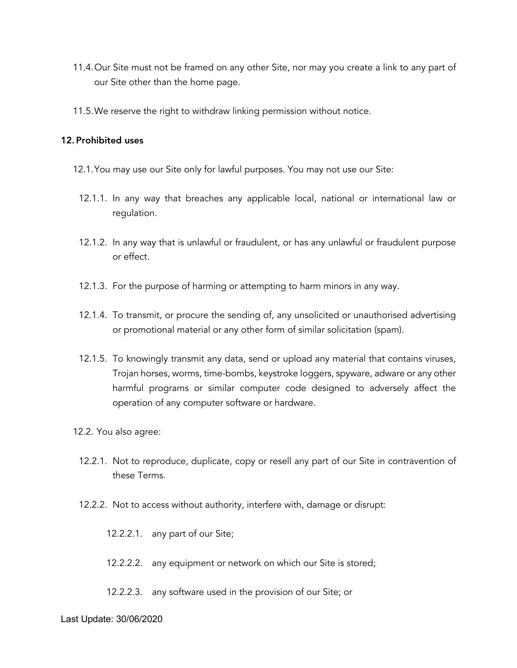- 11.4.Our Site must not be framed on any other Site, nor may you create a link to any part of our Site other than the home page.
- 11.5.We reserve the right to withdraw linking permission without notice.

#### 12. Prohibited uses

- 12.1.You may use our Site only for lawful purposes. You may not use our Site:
	- 12.1.1. In any way that breaches any applicable local, national or international law or regulation.
	- 12.1.2. In any way that is unlawful or fraudulent, or has any unlawful or fraudulent purpose or effect.
	- 12.1.3. For the purpose of harming or attempting to harm minors in any way.
	- 12.1.4. To transmit, or procure the sending of, any unsolicited or unauthorised advertising or promotional material or any other form of similar solicitation (spam).
	- 12.1.5. To knowingly transmit any data, send or upload any material that contains viruses, Trojan horses, worms, time-bombs, keystroke loggers, spyware, adware or any other harmful programs or similar computer code designed to adversely affect the operation of any computer software or hardware.
- 12.2. You also agree:
	- 12.2.1. Not to reproduce, duplicate, copy or resell any part of our Site in contravention of these Terms.
	- 12.2.2. Not to access without authority, interfere with, damage or disrupt:
		- 12.2.2.1. any part of our Site;
		- 12.2.2.2. any equipment or network on which our Site is stored;
		- 12.2.2.3. any software used in the provision of our Site; or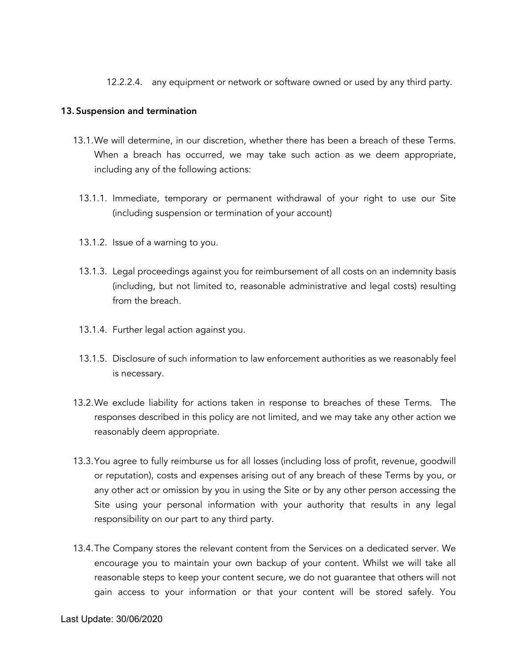12.2.2.4. any equipment or network or software owned or used by any third party.

## 13. Suspension and termination

- 13.1.We will determine, in our discretion, whether there has been a breach of these Terms. When a breach has occurred, we may take such action as we deem appropriate, including any of the following actions:
	- 13.1.1. Immediate, temporary or permanent withdrawal of your right to use our Site (including suspension or termination of your account)
	- 13.1.2. Issue of a warning to you.
	- 13.1.3. Legal proceedings against you for reimbursement of all costs on an indemnity basis (including, but not limited to, reasonable administrative and legal costs) resulting from the breach.
	- 13.1.4. Further legal action against you.
	- 13.1.5. Disclosure of such information to law enforcement authorities as we reasonably feel is necessary.
- 13.2.We exclude liability for actions taken in response to breaches of these Terms. The responses described in this policy are not limited, and we may take any other action we reasonably deem appropriate.
- 13.3.You agree to fully reimburse us for all losses (including loss of profit, revenue, goodwill or reputation), costs and expenses arising out of any breach of these Terms by you, or any other act or omission by you in using the Site or by any other person accessing the Site using your personal information with your authority that results in any legal responsibility on our part to any third party.
- 13.4.The Company stores the relevant content from the Services on a dedicated server. We encourage you to maintain your own backup of your content. Whilst we will take all reasonable steps to keep your content secure, we do not guarantee that others will not gain access to your information or that your content will be stored safely. You